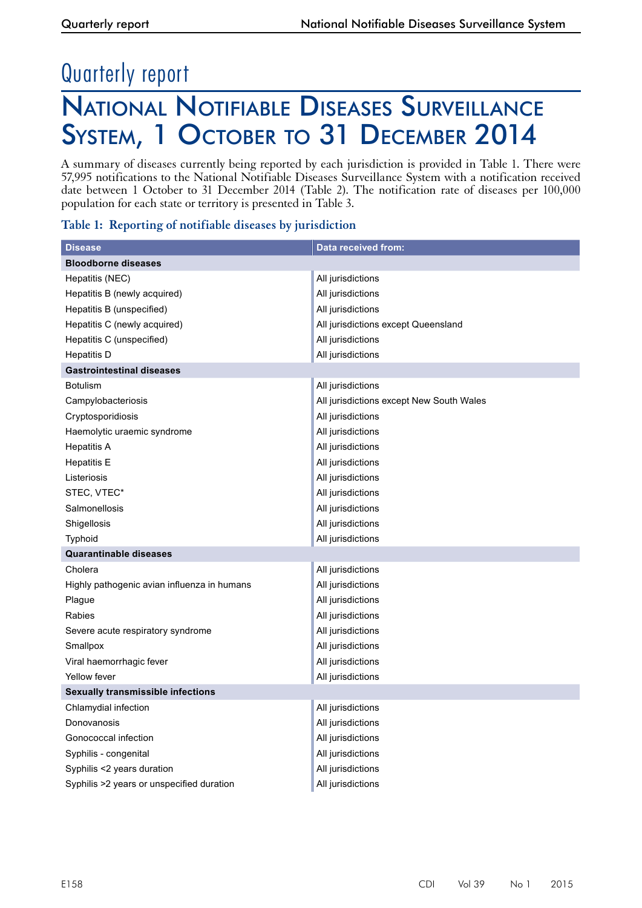## Quarterly report

### National Notifiable Diseases Surveillance System, 1 October to 31 December 2014

A summary of diseases currently being reported by each jurisdiction is provided in Table 1. There were 57,995 notifications to the National Notifiable Diseases Surveillance System with a notification received date between 1 October to 31 December 2014 (Table 2). The notification rate of diseases per 100,000 population for each state or territory is presented in Table 3.

|  | Table 1: Reporting of notifiable diseases by jurisdiction |  |
|--|-----------------------------------------------------------|--|
|  |                                                           |  |

| <b>Disease</b>                              | Data received from:                      |
|---------------------------------------------|------------------------------------------|
| <b>Bloodborne diseases</b>                  |                                          |
| Hepatitis (NEC)                             | All jurisdictions                        |
| Hepatitis B (newly acquired)                | All jurisdictions                        |
| Hepatitis B (unspecified)                   | All jurisdictions                        |
| Hepatitis C (newly acquired)                | All jurisdictions except Queensland      |
| Hepatitis C (unspecified)                   | All jurisdictions                        |
| Hepatitis D                                 | All jurisdictions                        |
| <b>Gastrointestinal diseases</b>            |                                          |
| <b>Botulism</b>                             | All jurisdictions                        |
| Campylobacteriosis                          | All jurisdictions except New South Wales |
| Cryptosporidiosis                           | All jurisdictions                        |
| Haemolytic uraemic syndrome                 | All jurisdictions                        |
| <b>Hepatitis A</b>                          | All jurisdictions                        |
| <b>Hepatitis E</b>                          | All jurisdictions                        |
| Listeriosis                                 | All jurisdictions                        |
| STEC, VTEC*                                 | All jurisdictions                        |
| Salmonellosis                               | All jurisdictions                        |
| Shigellosis                                 | All jurisdictions                        |
| Typhoid                                     | All jurisdictions                        |
| Quarantinable diseases                      |                                          |
| Cholera                                     | All jurisdictions                        |
| Highly pathogenic avian influenza in humans | All jurisdictions                        |
| Plague                                      | All jurisdictions                        |
| Rabies                                      | All jurisdictions                        |
| Severe acute respiratory syndrome           | All jurisdictions                        |
| Smallpox                                    | All jurisdictions                        |
| Viral haemorrhagic fever                    | All jurisdictions                        |
| <b>Yellow fever</b>                         | All jurisdictions                        |
| <b>Sexually transmissible infections</b>    |                                          |
| Chlamydial infection                        | All jurisdictions                        |
| Donovanosis                                 | All jurisdictions                        |
| Gonococcal infection                        | All jurisdictions                        |
| Syphilis - congenital                       | All jurisdictions                        |
| Syphilis <2 years duration                  | All jurisdictions                        |
| Syphilis >2 years or unspecified duration   | All jurisdictions                        |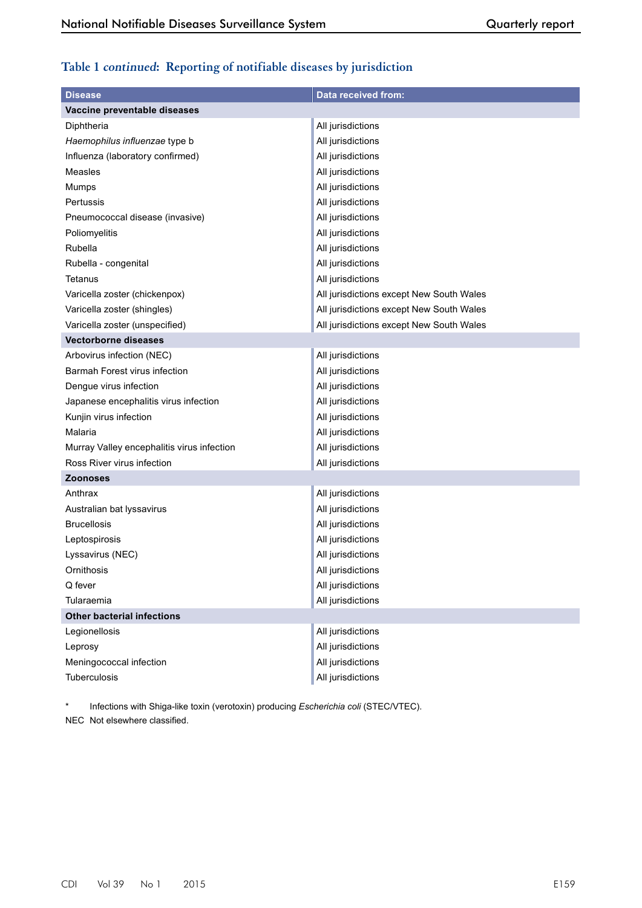#### **Table 1 continued: Reporting of notifiable diseases by jurisdiction**

| <b>Disease</b>                             | <b>Data received from:</b>               |
|--------------------------------------------|------------------------------------------|
| Vaccine preventable diseases               |                                          |
| Diphtheria                                 | All jurisdictions                        |
| Haemophilus influenzae type b              | All jurisdictions                        |
| Influenza (laboratory confirmed)           | All jurisdictions                        |
| Measles                                    | All jurisdictions                        |
| Mumps                                      | All jurisdictions                        |
| Pertussis                                  | All jurisdictions                        |
| Pneumococcal disease (invasive)            | All jurisdictions                        |
| Poliomyelitis                              | All jurisdictions                        |
| Rubella                                    | All jurisdictions                        |
| Rubella - congenital                       | All jurisdictions                        |
| Tetanus                                    | All jurisdictions                        |
| Varicella zoster (chickenpox)              | All jurisdictions except New South Wales |
| Varicella zoster (shingles)                | All jurisdictions except New South Wales |
| Varicella zoster (unspecified)             | All jurisdictions except New South Wales |
| <b>Vectorborne diseases</b>                |                                          |
| Arbovirus infection (NEC)                  | All jurisdictions                        |
| Barmah Forest virus infection              | All jurisdictions                        |
| Dengue virus infection                     | All jurisdictions                        |
| Japanese encephalitis virus infection      | All jurisdictions                        |
| Kunjin virus infection                     | All jurisdictions                        |
| Malaria                                    | All jurisdictions                        |
| Murray Valley encephalitis virus infection | All jurisdictions                        |
| Ross River virus infection                 | All jurisdictions                        |
| <b>Zoonoses</b>                            |                                          |
| Anthrax                                    | All jurisdictions                        |
| Australian bat lyssavirus                  | All jurisdictions                        |
| <b>Brucellosis</b>                         | All jurisdictions                        |
| Leptospirosis                              | All jurisdictions                        |
| Lyssavirus (NEC)                           | All jurisdictions                        |
| Ornithosis                                 | All jurisdictions                        |
| Q fever                                    | All jurisdictions                        |
| Tularaemia                                 | All jurisdictions                        |
| <b>Other bacterial infections</b>          |                                          |
| Legionellosis                              | All jurisdictions                        |
| Leprosy                                    | All jurisdictions                        |
| Meningococcal infection                    | All jurisdictions                        |
| Tuberculosis                               | All jurisdictions                        |

\* Infections with Shiga-like toxin (verotoxin) producing *Escherichia coli* (STEC/VTEC). NEC Not elsewhere classified.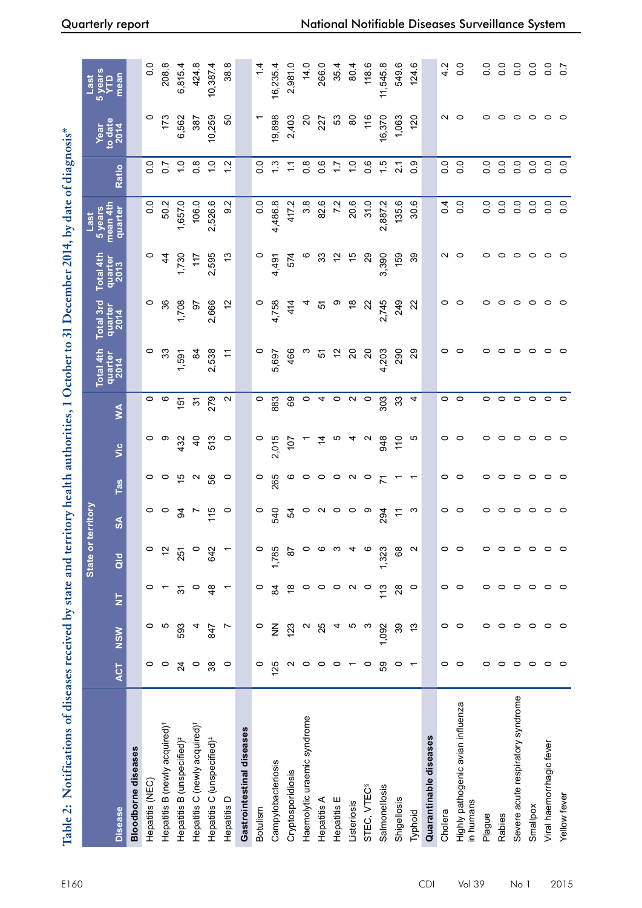| <b>Contract Contract of the Contract of the Contract of the Contract of the Contract of the Contract of the Contract of the Contract of the Contract of the Contract of the Contract of the Contract of the Contract of the Cont</b> |
|--------------------------------------------------------------------------------------------------------------------------------------------------------------------------------------------------------------------------------------|
|                                                                                                                                                                                                                                      |
|                                                                                                                                                                                                                                      |
|                                                                                                                                                                                                                                      |
|                                                                                                                                                                                                                                      |
|                                                                                                                                                                                                                                      |
| $1014$ by data of                                                                                                                                                                                                                    |
|                                                                                                                                                                                                                                      |
|                                                                                                                                                                                                                                      |
|                                                                                                                                                                                                                                      |
|                                                                                                                                                                                                                                      |
|                                                                                                                                                                                                                                      |
|                                                                                                                                                                                                                                      |
|                                                                                                                                                                                                                                      |
|                                                                                                                                                                                                                                      |
|                                                                                                                                                                                                                                      |
| ا<br>ا                                                                                                                                                                                                                               |
| ່                                                                                                                                                                                                                                    |
|                                                                                                                                                                                                                                      |
|                                                                                                                                                                                                                                      |
|                                                                                                                                                                                                                                      |
|                                                                                                                                                                                                                                      |
|                                                                                                                                                                                                                                      |
|                                                                                                                                                                                                                                      |
|                                                                                                                                                                                                                                      |
|                                                                                                                                                                                                                                      |
|                                                                                                                                                                                                                                      |
|                                                                                                                                                                                                                                      |
|                                                                                                                                                                                                                                      |
|                                                                                                                                                                                                                                      |
|                                                                                                                                                                                                                                      |
|                                                                                                                                                                                                                                      |
| $\begin{array}{cccccccccc} \hline \end{array}$                                                                                                                                                                                       |
|                                                                                                                                                                                                                                      |
|                                                                                                                                                                                                                                      |
|                                                                                                                                                                                                                                      |
|                                                                                                                                                                                                                                      |
|                                                                                                                                                                                                                                      |
|                                                                                                                                                                                                                                      |
|                                                                                                                                                                                                                                      |
|                                                                                                                                                                                                                                      |
|                                                                                                                                                                                                                                      |
|                                                                                                                                                                                                                                      |
|                                                                                                                                                                                                                                      |
|                                                                                                                                                                                                                                      |
|                                                                                                                                                                                                                                      |
|                                                                                                                                                                                                                                      |
|                                                                                                                                                                                                                                      |
|                                                                                                                                                                                                                                      |
|                                                                                                                                                                                                                                      |
|                                                                                                                                                                                                                                      |
|                                                                                                                                                                                                                                      |
|                                                                                                                                                                                                                                      |
|                                                                                                                                                                                                                                      |
|                                                                                                                                                                                                                                      |
|                                                                                                                                                                                                                                      |
| by state and territory hard                                                                                                                                                                                                          |
|                                                                                                                                                                                                                                      |
|                                                                                                                                                                                                                                      |
|                                                                                                                                                                                                                                      |
|                                                                                                                                                                                                                                      |
|                                                                                                                                                                                                                                      |
|                                                                                                                                                                                                                                      |
|                                                                                                                                                                                                                                      |
|                                                                                                                                                                                                                                      |
|                                                                                                                                                                                                                                      |
|                                                                                                                                                                                                                                      |
|                                                                                                                                                                                                                                      |
|                                                                                                                                                                                                                                      |
|                                                                                                                                                                                                                                      |
|                                                                                                                                                                                                                                      |
| i                                                                                                                                                                                                                                    |

|                                                |                   |               |                   | State or territory |                           |                   |                    |                   | Total 4th       | Total 3rd       | <b>Total 4th</b> | 5 years<br>Last     |                  | Year              | Last                   |
|------------------------------------------------|-------------------|---------------|-------------------|--------------------|---------------------------|-------------------|--------------------|-------------------|-----------------|-----------------|------------------|---------------------|------------------|-------------------|------------------------|
| <b>Disease</b>                                 | <b>ACT</b>        | <b>NSW</b>    | Ë                 | $\frac{d}{d}$      | $\mathsf{S}^{\mathsf{A}}$ | Tas               | $rac{c}{\sqrt{2}}$ | ≸                 | quarter<br>2014 | quarter<br>2014 | quarter<br>2013  | mean 4th<br>quarter | Ratio            | to date<br>$2014$ | 5 years<br>YTD<br>mean |
| <b>Bloodborne diseases</b>                     |                   |               |                   |                    |                           |                   |                    |                   |                 |                 |                  |                     |                  |                   |                        |
| Hepatitis (NEC)                                | 0                 | 0             | 0                 | 0                  | 0                         | 0                 | 0                  | 0                 | 0               | 0               | 0                | $\frac{0}{0}$       | $\frac{0}{0}$    | 0                 | $\overline{0}$         |
| Hepatitis B (newly acquired) <sup>†</sup>      | $\circ$           | ယ             |                   | $\frac{2}{3}$      | 0                         | $\circ$           | တ                  | ဖ                 | 33              | ని              | $\frac{4}{3}$    | 50.2                | $\overline{0.7}$ | 173               | 208.8                  |
| Hepatitis B (unspecified) <sup>#</sup>         | $\overline{24}$   | 593           | 94                | 251                | 3                         | 40                | 432                | 151               | 1,591           | 1,708           | 1,730            | 1,657.0             | $\frac{1}{2}$    | 6,562             | 6,815.4                |
| Hepatitis C (newly acquired) <sup>+</sup>      | $\circ$           |               | $\circ$           |                    | r                         | $\mathbf{\Omega}$ | $\overline{a}$     | $\tilde{5}$       | $\mathfrak{A}$  | 5               | 117              | 106.0               | $0.\overline{8}$ | 387               | 424.8                  |
| Hepatitis C (unspecified) <sup>#</sup>         | 38                | 847           | $\frac{8}{4}$     | 642                | 115                       | 56                | 513                | 279               | 2,538           | 2,666           | 2,595            | ဖ<br>2,526.         | $\frac{0}{1}$    | 10,259            | 10,387.4               |
| Hepatitis D                                    | $\circ$           | Ľ             | $\overline{ }$    |                    | $\circ$                   | $\circ$           | $\circ$            | $\mathbf{\sim}$   | H               | 5               | చ                | N<br>တ              | 1.2              | SO                | 38.8                   |
| Gastrointestinal diseases                      |                   |               |                   |                    |                           |                   |                    |                   |                 |                 |                  |                     |                  |                   |                        |
| Botulism                                       | $\circ$           | $\circ$       | $\circ$           | $\circ$            | $\circ$                   | 0                 | $\circ$            | $\circ$           | 0               | $\circ$         | $\circ$          | 0.0                 | $\frac{0}{2}$    |                   | 1.4                    |
| Campylobacteriosis                             | 125               | $\frac{z}{z}$ | \$                | 1,785              | 540                       | 265               | 2,015              | 883               | <b>697</b><br>ယ | 4,758           | 4,491            | 4,486.8             | $\frac{3}{1}$    | 19,898            | 16,235.4               |
| Cryptosporidiosis                              | $\mathbf{\Omega}$ | 123           | $\frac{8}{1}$     | 5                  | 54                        | ဖ                 | 107                | 69                | 466             | 414             | 574              | 417.2               | Ξ                | 2,403             | 2,981.0                |
| Haemolytic uraemic syndrome                    | $\circ$           | N             | 0                 | 0                  | 0                         | 0                 |                    | $\circ$           | ო               |                 | O                | 3.8                 | $0.\overline{8}$ | 20                | 14.0                   |
| Hepatitis A                                    | $\circ$           | 25            | $\circ$           | ഥ                  | $\mathbf{\Omega}$         | $\circ$           | 4                  | 4                 | 오               | 5               | 33               | 82.6                | 0.6              | 227               | 266.0                  |
| Hepatitis E                                    | $\circ$           |               | O                 |                    | 0                         | $\circ$           | Ю                  | $\circ$           | $\tilde{c}$     | σ,              | 57               | 7.2                 | 17               | යි                | 35.4                   |
| Listeriosis                                    |                   | ယ             | $\mathbf{\Omega}$ |                    | $\circ$                   | $\sim$            | 4                  | $\mathbf{\Omega}$ | $\Omega$        | $\frac{8}{1}$   | 15               | 20.6                | $\frac{0}{1}$    | 80                | 80.4                   |
| STEC, VTEC <sup>§</sup>                        | $\circ$           | ო             | $\circ$           | ဖ                  | တ                         | $\circ$           | $\mathbf{\sim}$    | $\circ$           | ຊ               | $\Omega$        | 29               | 31.0                | 0.6              | 116               | 118.6                  |
| Salmonellosis                                  | 69                | 1,092         | 113               | 1,323              | 294                       | 71                | 948                | 303               | 4,203           | 2,745           | 3,390            | 2,887.2             | 1.5              | 16,370            | 11,545.8               |
| Shigellosis                                    | $\circ$           | 39            | 28                | 89                 | H                         |                   | 110                | ౢ                 | 290             | 249             | 159              | 135.6               | 21               | 1,063             | 549.6                  |
| Typhoid                                        | $\overline{ }$    | 13            | $\circ$           | $\sim$             | ო                         |                   | ယ                  | 4                 | 29              | 22              | 39               | 30.6                | 0.9              | 120               | 124.6                  |
| Quarantinable diseases                         |                   |               |                   |                    |                           |                   |                    |                   |                 |                 |                  |                     |                  |                   |                        |
| Cholera                                        | $\circ$           | 0             | $\circ$           | $\circ$            | 0                         | 0                 | 0                  | 0                 | 0               | 0               | Ν                | $\overline{0}$ .    | 0.0              | Ν                 | 4.2                    |
| Highly pathogenic avian influenza<br>in humans | $\circ$           | $\circ$       | $\circ$           | $\circ$            | $\circ$                   | $\circ$           | $\circ$            | $\circ$           | $\circ$         | 0               | $\circ$          | 0.0                 | $\overline{0}$   | $\circ$           | $\overline{0}$         |
| Plague                                         | 0                 | 0             | 0                 | 0                  | 0                         | 0                 | 0                  | 0                 | 0               | 0               | 0                | 0.0                 | 0.0              | 0                 | $\overline{0}$ .       |
| Rabies                                         | $\circ$           | $\circ$       | $\circ$           | $\circ$            | $\circ$                   | 0                 | 0                  | 0                 | $\circ$         | 0               | 0                | 0.0                 | 0.0              | 0                 | 0.0                    |
| Severe acute respiratory syndrome              | $\circ$           | $\circ$       | $\circ$           | $\circ$            | $\circ$                   | $\circ$           | $\circ$            | $\circ$           | $\circ$         | $\circ$         | $\circ$          | 0.0                 | 0.0              | $\circ$           | $\frac{0}{0}$          |
| Smallpox                                       | $\circ$ $\circ$   | $\circ$       | $\circ$           | $\circ$            | $\circ$                   | $\circ$           | 0                  | $\circ$           | $\circ$         | 0               | $\circ$          | 0.0                 | $\overline{0}$ . | $\circ$           | $\overline{0}$ .       |
| Viral haemorrhagic fever                       |                   | $\circ$       | $\circ$           | $\circ$            | $\circ$                   | $\circ$           | $\circ$            | $\circ$           | $\circ$         | $\circ$         | 0                | $\overline{0}$ .    | $\rm ^{\circ}$   | $\circ$           | $\frac{0}{0}$          |
| Yellow fever                                   | $\circ$           | $\circ$       | $\circ$           | $\circ$            | $\circ$                   | $\circ$           | $\circ$            | $\circ$           | $\circ$         | $\circ$         | $\circ$          | 0.0                 | 0.0              | $\circ$           | $\overline{0}$         |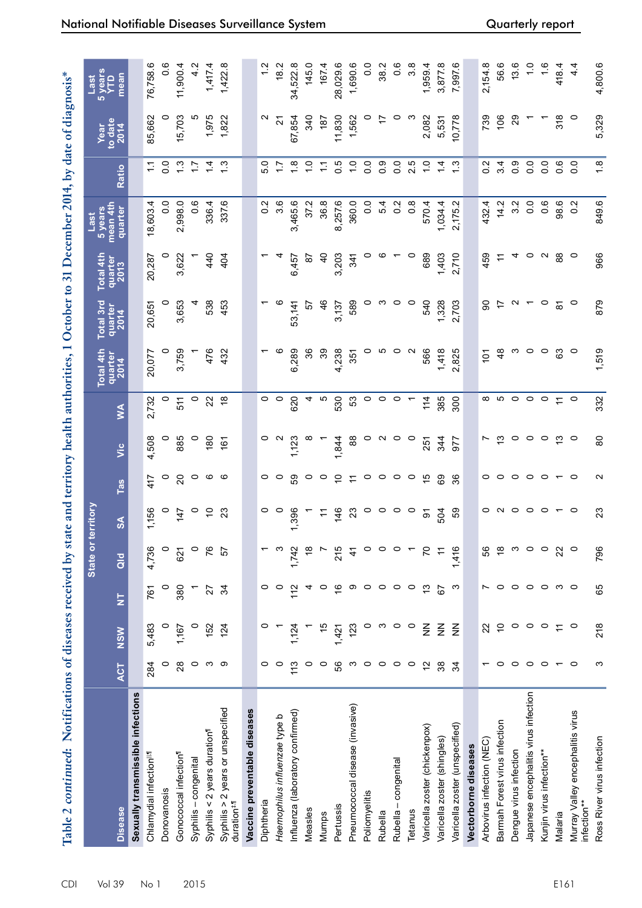| Table 2 continued: Notifications of diseases received by state and territory health authorities, 1 October to 31 December 2014, by date of diagnosis* |                          |               |                         |               |                |                   |                   |               |                 |                     |                 |                     |                  |                         |                       |
|-------------------------------------------------------------------------------------------------------------------------------------------------------|--------------------------|---------------|-------------------------|---------------|----------------|-------------------|-------------------|---------------|-----------------|---------------------|-----------------|---------------------|------------------|-------------------------|-----------------------|
|                                                                                                                                                       |                          |               |                         | State or      | territory      |                   |                   |               | Total 4th       | Total 3rd           | Total 4th       | 5 years<br>Last     |                  | Year<br>to date<br>2014 | <b>Syears</b><br>Last |
| <b>Disease</b>                                                                                                                                        | <b>ACT</b>               | <b>NSW</b>    | $\overline{\mathsf{z}}$ | $\frac{d}{d}$ | $\infty$       | <u>Tas</u>        | υïς               | ≸             | quarter<br>2014 | quarter<br>2014     | quarter<br>2013 | mean 4th<br>quarter | Ratio            |                         | mean                  |
| Sexually transmissible infections                                                                                                                     |                          |               |                         |               |                |                   |                   |               |                 |                     |                 |                     |                  |                         |                       |
| Chlamydial infection <sup>11</sup>                                                                                                                    | 284                      | 5,483         | 761                     | 4,736         | 1,156          | 417               | 4,508             | 2,732         | 20,077          | 20,651              | 20,287          | 4<br>18,603.        | $\tilde{\cdot}$  | 85,662                  | 76,758.6              |
| Donovanosis                                                                                                                                           | $\circ$                  | $\circ$       | $\circ$                 | $\circ$       | $\circ$        | $\circ$           | 0                 | 0             | 0               | 0                   | 0               | $\overline{0}$      | $\frac{0}{0}$    | 0                       | $0.\overline{6}$      |
| Gonococcal infection <sup>1</sup>                                                                                                                     | 28                       | 1,167         | 380                     | 621           | 147            | $\Omega$          | 885               | 511           | 3,759           | 653<br>က            | 622<br>ຕ        | 2,998.0             | $\frac{3}{2}$    | 5,703                   | 11,900.4              |
| Syphilis-congenital                                                                                                                                   | $\circ$                  | $\circ$       |                         | $\circ$       | $\circ$        | $\circ$           | $\circ$           | $\circ$       |                 | 4                   |                 | 0.6                 | $\ddot{ }$ :     | ပ                       | 4.2                   |
| Syphilis < $2$ years duration <sup>1</sup>                                                                                                            | S                        | 152           | 27                      | 76            | 5              | ဖ                 | 180               | 22            | 476             | 538                 | 440             | 336.4               | $\dot{z}$        | 1,975                   | 1,417.4               |
| Syphilis > 2 years or unspecified<br>duration <sup>#,fl</sup>                                                                                         | တ                        | 124           | 34                      | 57            | 23             | ဖ                 | 161               | $\frac{8}{5}$ | 432             | 453                 | 404             | 337.6               | $\frac{3}{1}$    | 1,822                   | 1,422.8               |
| Vaccine preventable diseases                                                                                                                          |                          |               |                         |               |                |                   |                   |               |                 |                     |                 |                     |                  |                         |                       |
| Diphtheria                                                                                                                                            | 0                        |               | 0                       |               | o              | 0                 | 0                 | 0             |                 |                     |                 | Ņ<br>Ö              | 5.0              | $\mathbf{\Omega}$       | 1.2                   |
| Haemophilus influenzae type b                                                                                                                         | $\circ$                  |               | $\circ$                 | ო             | $\circ$        | $\circ$           | $\mathbf{\Omega}$ | $\circ$       | ဖ               |                     |                 | $3.\overline{6}$    | $\ddot{ }$ :     | 21                      | 18.2                  |
| Influenza (laboratory confirmed)                                                                                                                      | 113                      | 1,124         | 112                     | 1,742         | 1,396          | S9                | 1,123             | 620           | 6.289           | 53,141              | 6,457           | 3,465.6             | $\frac{8}{1}$    | 67,854                  | 34,522.8              |
| Measles                                                                                                                                               | $\circ$                  |               | 4                       | $\frac{8}{1}$ |                | 0                 | ∞                 |               | 36              | 57                  | င္တ             | 37.2                | $\frac{1}{2}$    | 340                     | 145.0                 |
| Mumps                                                                                                                                                 | $\circ$                  | 15            | $\circ$                 |               | H              | 0                 |                   | Ю             | 39              | 46                  | ੩               | 36.8                | $\overline{1}$   | 187                     | 167.4                 |
| Pertussis                                                                                                                                             | 56                       | 1,421         | $\frac{6}{5}$           | 215           | 146            | $\overline{C}$    | 1,844             | 530           | 238<br>4        | 3,137               | 3,203           | 8,257.6             | $\overline{0}$ . | 11,830                  | 28,029.6              |
| Pneumococcal disease (invasive)                                                                                                                       | က                        | 123           | တ                       | $\frac{4}{3}$ | 23             | $\tilde{=}$       | 88                | 53            | 351             | 589                 | 341             | 360.0               | $\frac{0}{1}$    | 1,562                   | 1,690.6               |
| Poliomyelitis                                                                                                                                         | $\circ$                  | 0             | $\circ$                 | $\circ$       | $\circ$        | $\circ$           | 0                 | 0             | 0               | 0                   |                 | $\frac{0}{0}$       | $\overline{0}$   | 0                       | $\frac{0}{0}$         |
| Rubella                                                                                                                                               | $\circ$                  | က             | $\circ$                 | $\circ$       | $\circ$        | $\circ$           | $\sim$            | $\circ$       | Ю               | ო                   |                 | 5.4                 | 0.9              | 17                      | 38.2                  |
| Rubella - congenital                                                                                                                                  | $\circ$                  | $\circ$       | $\circ$                 | $\circ$       | $\circ$        | $\circ$           | $\circ$           | $\circ$       | $\circ$         | $\circ$             |                 | $\frac{2}{2}$       | $\overline{0}$   | $\circ$                 | 0.6                   |
| Tetanus                                                                                                                                               | $\circ$                  | $\circ$       | $\circ$                 |               | $\circ$        | $\circ$           | $\circ$           |               | $\sim$          | $\circ$             | o               | $0.\overline{8}$    | 2.5              | ო                       | $3.\overline{8}$      |
| Varicella zoster (chickenpox)                                                                                                                         | $\overline{2}$           | $\frac{z}{z}$ | 13                      | 50            | $\overline{5}$ | 15                | 251               | 114           | 566             | 540                 | 689             | 570.4               | $\frac{0}{1}$    | 2,082                   | 1,959.4               |
| Varicella zoster (shingles)                                                                                                                           | 38                       | $\frac{z}{z}$ | 67                      | $\tilde{t}$   | 504            | 69                | 344               | 385           | 1,418           | 1,328               | 1,403           | 1,034.4             | $1\overline{4}$  | 5,531                   | 3,877.8               |
| Varicella zoster (unspecified)                                                                                                                        | 34                       | $\frac{z}{z}$ | ო                       | 1,416         | S9             | 36                | 977               | 300           | 2,825           | 2,703               | 2,710           | N<br>2,175.         | $\frac{3}{1}$    | 10,778                  | 7,997.6               |
| Vectorborne diseases                                                                                                                                  |                          |               |                         |               |                |                   |                   |               |                 |                     |                 |                     |                  |                         |                       |
| Arbovirus infection (NEC)                                                                                                                             |                          | 22            | N                       | 56            | 0              | 0                 | r                 | ∞             | $\overline{5}$  | ခ                   | 459             | 432.                | $\frac{2}{5}$    | 739                     | 2,154.8               |
| Barmah Forest virus infection                                                                                                                         | $\circ$                  | $\tilde{0}$   | $\circ$                 | $\frac{8}{1}$ | $\sim$         | 0                 | చ                 | Ю             | $\frac{8}{4}$   | 17                  |                 | 14.2                | 3.4              | 106                     | 56.6                  |
| Dengue virus infection                                                                                                                                | $\circ$                  | $\circ$       | $\circ$                 | S             | $\circ$        | $\circ$           | 0                 | $\circ$       | ო               | N                   | 4               | 3.2                 | 0.9              | 29                      | 13.6                  |
| Japanese encephalitis virus infection                                                                                                                 | $\circ$                  | $\circ$       | $\circ$                 | $\circ$       | $\circ$        | $\circ$           | $\circ$           | $\circ$       | $\circ$         |                     | $\circ$         | 0.0                 | 0.0              |                         | $\frac{0}{1}$         |
| Kunjin virus infection**                                                                                                                              | $\circ$                  | $\circ$       | $\circ$                 | $\circ$       | $\circ$        | $\circ$           | $\circ$           | $\circ$       | $\circ$         | $\circ$             | $\sim$          | $0.\overline{6}$    | 0.0              |                         | 1.6                   |
| Malaria                                                                                                                                               | $\overline{\phantom{0}}$ | $\leftarrow$  | ო                       | 22            | $\overline{ }$ | $\overline{ }$    | င္း               | $\div$        | 3               | $\overline{\infty}$ | 88              | 98.6                | 0.6              | 318                     | 418.4                 |
| Murray Valley encephalitis virus<br>nfection**                                                                                                        | $\circ$                  | $\circ$       | $\circ$                 | $\circ$       | $\circ$        | ○                 | $\circ$           | $\circ$       | $\circ$         | $\circ$             | $\circ$         | Ņ<br>$\circ$        | $\overline{0}$ . | o                       | 4.4                   |
| Ross River virus infection                                                                                                                            | ω                        | 218           | 65                      | 796           | 23             | $\mathbf{\Omega}$ | $\overline{8}$    | 332           | 1,519           | 879                 | 966             | 849.6               | 1.8              | 5,329                   | 4,800.6               |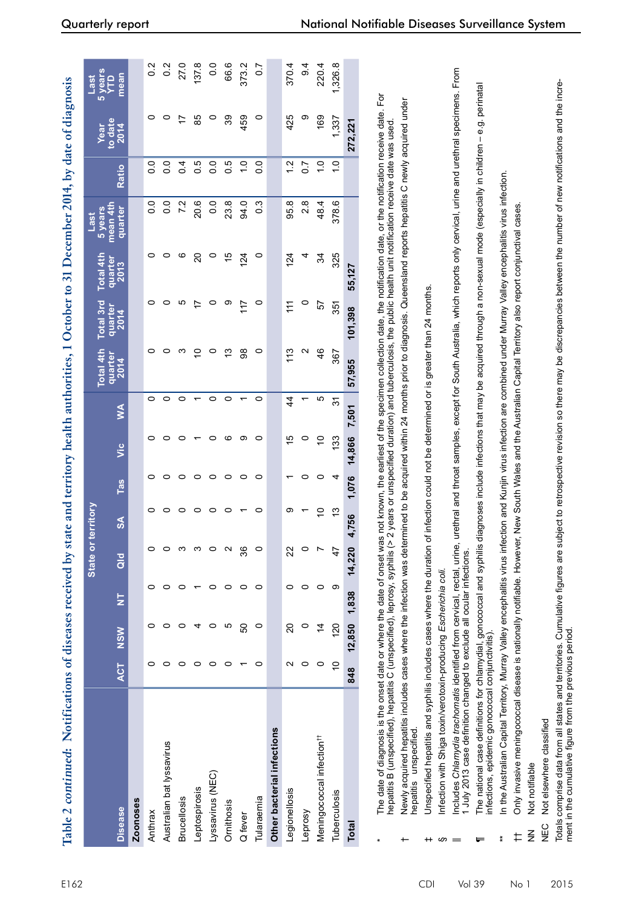| í<br>י<br>ו       |  |
|-------------------|--|
|                   |  |
|                   |  |
| -<br>-<br>-<br>-  |  |
|                   |  |
|                   |  |
| נו<br>ג           |  |
| )<br>i            |  |
| $\frac{1}{2}$     |  |
|                   |  |
|                   |  |
|                   |  |
|                   |  |
|                   |  |
|                   |  |
| ind of            |  |
|                   |  |
|                   |  |
|                   |  |
| きんせいせいせい ちょう うちょう |  |
|                   |  |
|                   |  |
|                   |  |
|                   |  |
| ì                 |  |
|                   |  |
| יים הפרוד         |  |
|                   |  |
|                   |  |
|                   |  |
| j                 |  |
|                   |  |
|                   |  |
| i                 |  |
|                   |  |
|                   |  |
|                   |  |
|                   |  |
|                   |  |
|                   |  |
| I                 |  |

|                                       |                |              |                         | State or territory |               |       |             |               | <b>Total 4th</b>  | Total 3rd       | Total 4th       | 5 years<br>Last     |                  |                         | 5 years<br>YTD<br><b>Last</b> |
|---------------------------------------|----------------|--------------|-------------------------|--------------------|---------------|-------|-------------|---------------|-------------------|-----------------|-----------------|---------------------|------------------|-------------------------|-------------------------------|
| <b>Disease</b>                        | ACT            | <b>NSW</b>   | $\overline{\mathsf{z}}$ | $\frac{d}{d}$      | $\frac{8}{2}$ | Tas   | vic         | $\leq$        | quarter<br>2014   | quarter<br>2014 | quarter<br>2013 | mean 4th<br>quarter | <b>Ratio</b>     | Year<br>to date<br>2014 | mean                          |
| <b>Zoonoses</b>                       |                |              |                         |                    |               |       |             |               |                   |                 |                 |                     |                  |                         |                               |
| Anthrax                               |                |              |                         |                    |               | o     | 0           | 0             |                   | o               | 0               | 0.0                 | 0.0              | 0                       | $\frac{2}{1}$                 |
| Australian bat lyssavirus             |                |              |                         |                    |               | 0     | 0           | 0             |                   |                 | 0               | 0.0                 | $\frac{0}{0}$    | 0                       | $\frac{2}{1}$                 |
| <b>Brucellosis</b>                    |                |              |                         |                    | o             | 0     | o           | 0             | ო                 | ഥ               | ဖ               | 7.2                 | 0.4              | 17                      | 27.0                          |
| Leptospirosis                         |                |              |                         | ო                  | 0             | 0     |             |               | S                 | 17              | 20              | 20.6                | 0.5              | 85                      | 137.8                         |
| Lyssavirus (NEC)                      | 0              |              |                         |                    | 0             | 0     | 0           | 0             | $\circ$           | 0               | $\circ$         | 0.0                 | $\overline{0}$   | $\circ$                 | $\frac{0}{2}$                 |
| Ornithosis                            | 0              | ю            |                         |                    | 0             | 0     | ဖ           | 0             | చ                 | σ               | 15              | 23.8                | 0.5              | 39                      | 66.6                          |
| Q fever                               |                | 80           |                         | వి                 |               | 0     | თ           |               | 88                | 117             | 124             | 94.0                | $\frac{0}{1}$    | 459                     | 373.2                         |
| Tularaemia                            | 0              | 0            | 0                       |                    | 0             | 0     | 0           | 0             | 0                 | $\circ$         | $\circ$         | $\frac{3}{2}$       | $\overline{0}$   | $\circ$                 | $\frac{2}{3}$                 |
| Other bacterial infections            |                |              |                         |                    |               |       |             |               |                   |                 |                 |                     |                  |                         |                               |
| Legionellosis                         | ี              | 20           |                         | ಜ                  | တ             |       | 15          | $\frac{4}{3}$ | 113               | $\ddot{=}$      | 124             | 95.8                | 1.2              | 425                     | 370.4                         |
| Leprosy                               | 0              |              |                         |                    |               | 0     | $\circ$     |               | $\mathbf{\Omega}$ | $\circ$         | 4               | 2.8                 | $\overline{0.7}$ | σ                       | 9.4                           |
| Meningococcal infection <sup>t+</sup> | 0              | $\dot{4}$    | 0                       |                    | S             | 0     | $\tilde{c}$ | ഥ             | 46                | 57              | 34              | 48.4                | $\frac{0}{1}$    | 169                     | 220.4                         |
| Tuberculosis                          | $\overline{C}$ | 120          | თ                       | 47                 | చ             | 4     | 133         | 91            | 367               | 351             | 325             | 378.6               | $\frac{0}{1}$    | 1,337                   | 1,326.8                       |
| <b>Total</b>                          | 848            | 12,850 1,838 |                         | 14,220             | 4,756         | 1,076 | 14,866      | 7,501         | 57,955            | 101,398         | 55,127          |                     |                  | 272,221                 |                               |
|                                       |                |              |                         |                    |               |       |             |               |                   |                 |                 |                     |                  |                         |                               |

 The date of diagnosis is the onset date or where the date of onset was not known, the earliest of the specimen collection date, the notification date, or the notification receive date. For For The date of diagnosis is the onset date or where the date of onset was not known, the earliest of the specimen collection date, the notification date, or the notification receive date. I<br>hepattis B (unspecified), hepattis hepatitis B (unspecified), hepatitis C (unspecified), leprosy, syphilis (> 2 years or unspecified duration) and tuberculosis, the public health unit notification receive date was used.

\*

 Newly acquired hepatitis includes cases where the infection was determined to be acquired within 24 months prior to diagnosis. Queensland reports hepatitis C newly acquired under Newly acquired hepatitis includes cases where the infection was determined to be acquired within 24 months prior to diagnosis. Queensland reports hepatitis C newly acquired under hepatitis unspecified. nepatitis unspecified †

Jnspecified hepatitis and syphilis includes cases where the duration of infection could not be determined or is greater than 24 months. Unspecified hepatitis and syphilis includes cases where the duration of infection could not be determined or is greater than 24 months. ‡

Infection with Shiga toxin/verotoxin-producing Escherichia coli. Infection with Shiga toxin/verotoxin-producing *Escherichia coli.* § ncludes Chlamydia trachomatis identified from cervical, rectal, urine, urethral and throat samples, except for South Australia, which reports only cervical, urine and urethral specimens. From || Includes *Chlamydia trachomatis* identified from cervical, rectal, urine, urethral and throat samples, except for South Australia, which reports only cervical, urine and urethral specimens. From I July 2013 case definition changed to exclude all ocular infections. 1 July 2013 case definition changed to exclude all ocular infections.

 $\P$  The national case definitions for chlamydial, gonococcal and syphilis diagnoses include infections that may be acquired through a non-sexual mode (especially in children – e.g. perinatal The national case definitions for chlamydial, gonococcal and syphilis diagnoses include infections that may be acquired through a non-sexual mode (especially in children – e.g. perinatal infections, epidemic gonococcal conjunctivitis). infections, epidemic gonococcal conjunctivitis).

n the Australian Capital Territory, Murray Valley encephalitis virus infection and Kunjin virus infection are combined under Murray Valley encephalitis virus infection. \*\* In the Australian Capital Territory, Murray Valley encephalitis virus infection and Kunjin virus infection are combined under Murray Valley encephalitis virus infection.

†† Only invasive meningococcal disease is nationally notifiable. However, New South Wales and the Australian Capital Territory also report conjunctival cases. Only invasive meningococcal disease is nationally notifiable. However, New South Wales and the Australian Capital Territory also report conjunctival cases.  $\pm$ 

Not notifiable NN Not notifiable  $\frac{2}{2}$ 

Not elsewhere classified NEC Not elsewhere classified **NEC**  Totals comprise data from all states and territories. Cumulative figures are subject to retrospective revision so there may be discrepancies between the number of new notifications and the incre-Totals comprise data from all states and territories. Cumulative figures are subject to retrospective revision so there may be discrepancies between the number of new notifications and the increment in the cumulative figure from the previous period. ment in the cumulative figure from the previous period.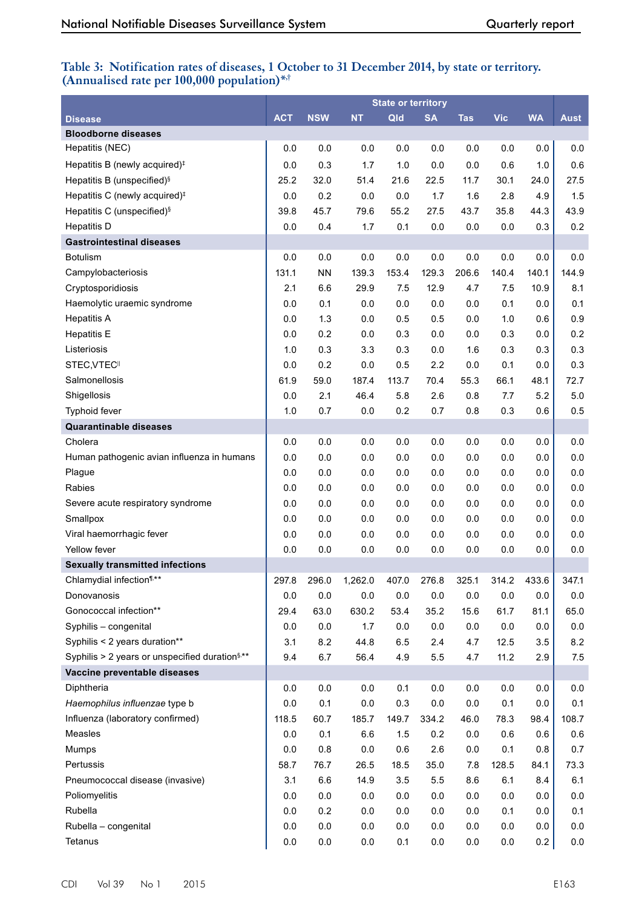# **Table 3: Notification rates of diseases, 1 October to 31 December 2014, by state or territory. (Annualised rate per 100,000 population)\*,†**

|                                                            |            |            |           | <b>State or territory</b> |           |                          |            |           |             |
|------------------------------------------------------------|------------|------------|-----------|---------------------------|-----------|--------------------------|------------|-----------|-------------|
| <b>Disease</b>                                             | <b>ACT</b> | <b>NSW</b> | <b>NT</b> | Qld                       | <b>SA</b> | $\overline{\text{I}}$ as | <b>Vic</b> | <b>WA</b> | <b>Aust</b> |
| <b>Bloodborne diseases</b>                                 |            |            |           |                           |           |                          |            |           |             |
| Hepatitis (NEC)                                            | 0.0        | 0.0        | 0.0       | 0.0                       | 0.0       | 0.0                      | 0.0        | 0.0       | 0.0         |
| Hepatitis B (newly acquired) <sup>#</sup>                  | 0.0        | 0.3        | 1.7       | 1.0                       | 0.0       | 0.0                      | 0.6        | 1.0       | 0.6         |
| Hepatitis B (unspecified) <sup>§</sup>                     | 25.2       | 32.0       | 51.4      | 21.6                      | 22.5      | 11.7                     | 30.1       | 24.0      | 27.5        |
| Hepatitis C (newly acquired) <sup>#</sup>                  | 0.0        | 0.2        | 0.0       | 0.0                       | 1.7       | 1.6                      | 2.8        | 4.9       | 1.5         |
| Hepatitis C (unspecified) <sup>§</sup>                     | 39.8       | 45.7       | 79.6      | 55.2                      | 27.5      | 43.7                     | 35.8       | 44.3      | 43.9        |
| <b>Hepatitis D</b>                                         | 0.0        | 0.4        | 1.7       | 0.1                       | 0.0       | 0.0                      | 0.0        | 0.3       | 0.2         |
| <b>Gastrointestinal diseases</b>                           |            |            |           |                           |           |                          |            |           |             |
| <b>Botulism</b>                                            | 0.0        | 0.0        | 0.0       | 0.0                       | 0.0       | 0.0                      | 0.0        | 0.0       | 0.0         |
| Campylobacteriosis                                         | 131.1      | <b>NN</b>  | 139.3     | 153.4                     | 129.3     | 206.6                    | 140.4      | 140.1     | 144.9       |
| Cryptosporidiosis                                          | 2.1        | 6.6        | 29.9      | 7.5                       | 12.9      | 4.7                      | 7.5        | 10.9      | 8.1         |
| Haemolytic uraemic syndrome                                | 0.0        | 0.1        | 0.0       | 0.0                       | 0.0       | 0.0                      | 0.1        | 0.0       | 0.1         |
| <b>Hepatitis A</b>                                         | 0.0        | 1.3        | 0.0       | 0.5                       | 0.5       | 0.0                      | 1.0        | 0.6       | 0.9         |
| <b>Hepatitis E</b>                                         | 0.0        | 0.2        | 0.0       | 0.3                       | 0.0       | 0.0                      | 0.3        | 0.0       | 0.2         |
| Listeriosis                                                | 1.0        | 0.3        | 3.3       | 0.3                       | 0.0       | 1.6                      | 0.3        | 0.3       | 0.3         |
| STEC, VTEC <sup>II</sup>                                   | 0.0        | 0.2        | 0.0       | 0.5                       | 2.2       | 0.0                      | 0.1        | 0.0       | 0.3         |
| Salmonellosis                                              | 61.9       | 59.0       | 187.4     | 113.7                     | 70.4      | 55.3                     | 66.1       | 48.1      | 72.7        |
| Shigellosis                                                | 0.0        | 2.1        | 46.4      | 5.8                       | 2.6       | 0.8                      | 7.7        | 5.2       | $5.0$       |
| Typhoid fever                                              | 1.0        | 0.7        | 0.0       | 0.2                       | 0.7       | 0.8                      | 0.3        | 0.6       | 0.5         |
| <b>Quarantinable diseases</b>                              |            |            |           |                           |           |                          |            |           |             |
| Cholera                                                    | 0.0        | 0.0        | 0.0       | 0.0                       | 0.0       | 0.0                      | 0.0        | 0.0       | 0.0         |
| Human pathogenic avian influenza in humans                 | 0.0        | 0.0        | 0.0       | 0.0                       | 0.0       | 0.0                      | 0.0        | 0.0       | 0.0         |
| Plague                                                     | 0.0        | 0.0        | 0.0       | 0.0                       | 0.0       | 0.0                      | 0.0        | 0.0       | $0.0\,$     |
| Rabies                                                     | 0.0        | 0.0        | 0.0       | 0.0                       | 0.0       | 0.0                      | 0.0        | 0.0       | 0.0         |
| Severe acute respiratory syndrome                          | 0.0        | 0.0        | 0.0       | 0.0                       | 0.0       | 0.0                      | 0.0        | 0.0       | 0.0         |
| Smallpox                                                   | 0.0        | 0.0        | 0.0       | 0.0                       | 0.0       | 0.0                      | 0.0        | 0.0       | 0.0         |
| Viral haemorrhagic fever                                   | 0.0        | 0.0        | 0.0       | 0.0                       | 0.0       | 0.0                      | 0.0        | 0.0       | 0.0         |
| Yellow fever                                               | 0.0        | 0.0        | 0.0       | 0.0                       | 0.0       | 0.0                      | 0.0        | 0.0       | 0.0         |
| <b>Sexually transmitted infections</b>                     |            |            |           |                           |           |                          |            |           |             |
| Chlamydial infection <sup>1,**</sup>                       | 297.8      | 296.0      | 1,262.0   | 407.0                     | 276.8     | 325.1                    | 314.2      | 433.6     | 347.1       |
| Donovanosis                                                | 0.0        | 0.0        | 0.0       | 0.0                       | 0.0       | 0.0                      | 0.0        | 0.0       | 0.0         |
| Gonococcal infection**                                     | 29.4       | 63.0       | 630.2     | 53.4                      | 35.2      | 15.6                     | 61.7       | 81.1      | 65.0        |
| Syphilis - congenital                                      | 0.0        | $0.0\,$    | 1.7       | $0.0\,$                   | $0.0\,$   | 0.0                      | 0.0        | 0.0       | 0.0         |
| Syphilis < 2 years duration**                              | 3.1        | 8.2        | 44.8      | 6.5                       | 2.4       | 4.7                      | 12.5       | 3.5       | 8.2         |
| Syphilis > 2 years or unspecified duration <sup>§,**</sup> | 9.4        | 6.7        | 56.4      | 4.9                       | 5.5       | 4.7                      | 11.2       | 2.9       | 7.5         |
| Vaccine preventable diseases                               |            |            |           |                           |           |                          |            |           |             |
| Diphtheria                                                 | 0.0        | 0.0        | 0.0       | 0.1                       | 0.0       | 0.0                      | 0.0        | 0.0       | 0.0         |
| Haemophilus influenzae type b                              | 0.0        | 0.1        | 0.0       | 0.3                       | 0.0       | 0.0                      | 0.1        | 0.0       | 0.1         |
| Influenza (laboratory confirmed)                           | 118.5      | 60.7       | 185.7     | 149.7                     | 334.2     | 46.0                     | 78.3       | 98.4      | 108.7       |
| Measles                                                    | 0.0        | 0.1        | 6.6       | 1.5                       | 0.2       | 0.0                      | 0.6        | 0.6       | 0.6         |
| Mumps                                                      | 0.0        | 0.8        | 0.0       | 0.6                       | 2.6       | 0.0                      | 0.1        | 0.8       | 0.7         |
| Pertussis                                                  | 58.7       | 76.7       | 26.5      | 18.5                      | 35.0      | 7.8                      | 128.5      | 84.1      | 73.3        |
| Pneumococcal disease (invasive)                            | 3.1        | 6.6        | 14.9      | 3.5                       | 5.5       | 8.6                      | 6.1        | 8.4       | 6.1         |
| Poliomyelitis                                              | 0.0        | $0.0\,$    | 0.0       | 0.0                       | 0.0       | 0.0                      | 0.0        | 0.0       | 0.0         |
| Rubella                                                    | 0.0        | 0.2        | 0.0       | 0.0                       | $0.0\,$   | 0.0                      | 0.1        | 0.0       | 0.1         |
| Rubella - congenital                                       | 0.0        | 0.0        | 0.0       | $0.0\,$                   | $0.0\,$   | $0.0\,$                  | $0.0\,$    | 0.0       | 0.0         |
| Tetanus                                                    | 0.0        | $0.0\,$    | 0.0       | 0.1                       | 0.0       | $0.0\,$                  | 0.0        | 0.2       | 0.0         |